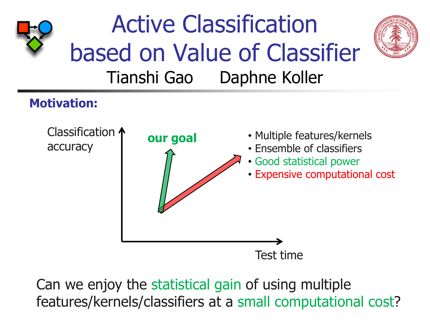

Can we enjoy the statistical gain of using multiple features/kernels/classifiers at a small computational cost?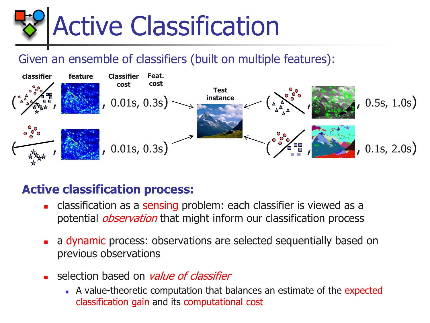

## Given an ensemble of classifiers (built on multiple features):



## **Active classification process:**

- classification as a sensing problem: each classifier is viewed as a potential *observation* that might inform our classification process
- a dynamic process: observations are selected sequentially based on previous observations
- selection based on *value of classifier* 
	- A value-theoretic computation that balances an estimate of the expected classification gain and its computational cost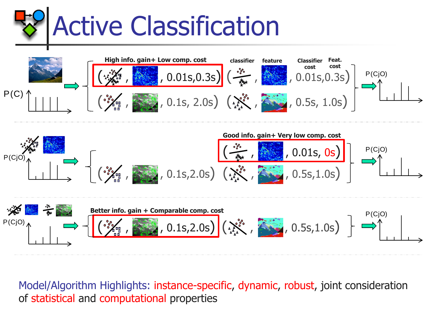





Model/Algorithm Highlights: instance-specific, dynamic, robust, joint consideration of statistical and computational properties